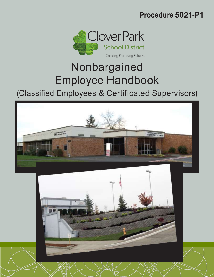# **Procedure 5021-P1**



# Nonbargained Employee Handbook

# (Classified Employees & Certificated Supervisors)

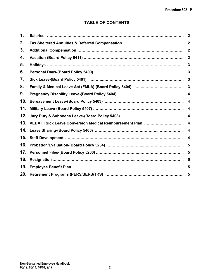# **TABLE OF CONTENTS**

| 1.  |                                                           |                  |
|-----|-----------------------------------------------------------|------------------|
| 2.  |                                                           | $\boldsymbol{2}$ |
| 3.  |                                                           | $\boldsymbol{2}$ |
| 4.  |                                                           | $\boldsymbol{2}$ |
| 5.  |                                                           | 3                |
| 6.  |                                                           | 3                |
| 7.  |                                                           | 3                |
| 8.  |                                                           | $\mathbf{3}$     |
| 9.  |                                                           | $\boldsymbol{4}$ |
| 10. |                                                           | $\boldsymbol{4}$ |
| 11. |                                                           | $\boldsymbol{4}$ |
| 12. |                                                           | $\boldsymbol{4}$ |
| 13. | VEBA III Sick Leave Conversion Medical Reimbursement Plan | $\boldsymbol{4}$ |
| 14. |                                                           | $\boldsymbol{4}$ |
| 15. |                                                           | 4                |
| 16. |                                                           | 5                |
| 17. |                                                           | 5                |
| 18. |                                                           | 5                |
| 19. |                                                           | 5                |
| 20. |                                                           |                  |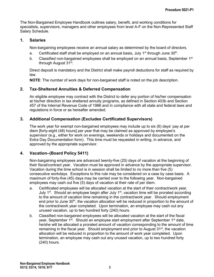The Non-Bargained Employee Handbook outlines salary, benefit, and working conditions for specialists, supervisors, managers and other employees from level A-F on the Non-Represented Staff Salary Schedule.

#### **1. Salaries**

Non-bargaining employees receive an annual salary as determined by the board of directors.

- a. Certificated staff shall be employed on an annual basis, July 1<sup>st</sup> through June  $30<sup>th</sup>$ .
- b. Classified non-bargained employees shall be employed on an annual basis, September 1st through August 31<sup>st</sup>.

Direct deposit is mandatory and the District shall make payroll deductions for staff as required by law.

**NOTE**: The number of work days for non-bargained staff is noted on the job description.

# **2. Tax-Sheltered Annuities & Deferred Compensation**

An eligible employee may contract with the District to defer any portion of his/her compensation at his/her direction in tax sheltered annuity programs, as defined in Section 403b and Section 457 of the Internal Revenue Code of 1986 and in compliance with all state and federal laws and regulations in force or as hereafter amended.

# **3. Additional Compensation (Excludes Certificated Supervisors)**

The work year for exempt non-bargained employees may include up to six (6) days' pay at per diem [forty-eight (48) hours] per year that may be claimed as approved by employee's supervisor (e.g., either for work on evenings, weekends or holidays and documented on the Extra Day Documentation form). This time must be requested in writing, in advance, and approved by the appropriate supervisor.

#### **4. Vacation–(Board Policy 5411)**

Non-bargaining employees are advanced twenty-five (25) days of vacation at the beginning of their fiscal/contract year. Vacation must be approved in advance by the appropriate supervisor. Vacation during the time school is in session shall be limited to no more than five (5) consecutive workdays. Exceptions to this rule may be considered on a case by case basis. A maximum of forty-five (45) days may be carried over to the following year. Non-bargained employees may cash out five (5) days of vacation at their rate of per diem.

- a. Certificated employees will be allocated vacation at the start of their contract/work year, July 1<sup>st</sup>. Should an employee begin after July 1<sup>st</sup>, vacation time will be prorated according to the amount of vacation time remaining in the contract/work year. Should employment end prior to June  $30<sup>th</sup>$ , the vacation allocation will be reduced in proportion to the amount of the contract/work year completed. Upon termination, an employee may cash out any unused vacation, up to two hundred forty (240) hours.
- b. Classified non-bargained employees will be allocated vacation at the start of the fiscal year, September 1st. Should an employee start employment after September 1st date, he/she will be allocated a prorated amount of vacation corresponding to the amount of time remaining in the fiscal year. Should employment end prior to August 31<sup>st</sup>, the vacation allocation will be reduced in proportion to the amount of work year completed. Upon termination, an employee may cash out any unused vacation, up to two hundred forty (240) hours.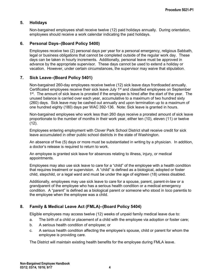#### **5. Holidays**

Non-bargained employees shall receive twelve (12) paid holidays annually. During orientation, employees should receive a work calendar indicating the paid holidays.

#### **6. Personal Days–(Board Policy 5400)**

Employees receive two (2) personal days per year for a personal emergency, religious Sabbath, legal or business obligations that cannot be completed outside of the regular work day. These days can be taken in hourly increments. Additionally, personal leave must be approved in advance by the appropriate supervisor. These days cannot be used to extend a holiday or vacation. However, under certain circumstances, the supervisor may waive that stipulation.

# **7. Sick Leave–(Board Policy 5401)**

Non-bargained 260-day employees receive twelve (12) sick leave days frontloaded annually. Certificated employees receive their sick leave July 1<sup>st</sup> and classified employees on September 1<sup>st</sup>. The amount of sick leave is prorated if the employee is hired after the start of the year. The unused balance is carried over each year, accumulative to a maximum of two hundred sixty (260) days. Sick leave may be cashed out annually and upon termination up to a maximum of one hundred eighty (180) days per WAC 392-136. Note: Sick leave is granted in hours.

Non-bargained employees who work less than 260 days receive a prorated amount of sick leave proportionate to the number of months in their work year, either ten (10), eleven (11) or twelve  $(12)$ .

Employees entering employment with Clover Park School District shall receive credit for sick leave accumulated in other public school districts in the state of Washington.

An absence of five (5) days or more must be substantiated in writing by a physician. In addition, a doctor's release is required to return to work.

An employee is granted sick leave for absences relating to illness, injury, or medical appointments.

Employees may also use sick leave to care for a "child" of the employee with a health condition that requires treatment or supervision. A "child" is defined as a biological, adopted or foster child, stepchild, or a legal ward and must be under the age of eighteen (18) unless disabled.

Additionally, employees may use sick leave to care for a spouse, parent, parent-in-law or a grandparent of the employee who has a serious health condition or a medical emergency condition. A "parent" is defined as a biological parent or someone who stood in loco parentis to the employee when the employee was a child.

# **8. Family & Medical Leave Act (FMLA)–(Board Policy 5404)**

Eligible employees may access twelve (12) weeks of unpaid family medical leave due to:

- a. The birth of a child or placement of a child with the employee via adoption or foster care;
- b. A serious health condition of employee; or
- c. A serious health condition affecting the employee's spouse, child or parent for whom the employee is providing care.

The District will maintain existing health benefits for the employee during FMLA leave.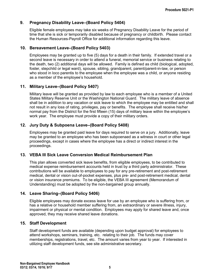# **9. Pregnancy Disability Leave–(Board Policy 5404)**

Eligible female employees may take six weeks of Pregnancy Disability Leave for the period of time that she is sick or temporarily disabled because of pregnancy or childbirth. Please contact the Human Resources-Payroll Office for additional information regarding this leave.

#### **10. Bereavement Leave–(Board Policy 5403)**

Employees may be granted up to five (5) days for a death in their family. If extended travel or a second leave is necessary in order to attend a funeral, memorial service or business relating to the death, two (2) additional days will be allowed. Family is defined as child (biological, adopted, foster, stepchild or legal ward), spouse, sibling, grandparent, parent/parent-in-law, or person who stood in loco parentis to the employee when the employee was a child, or anyone residing as a member of the employee's household.

#### **11. Military Leave–(Board Policy 5407)**

Military leave will be granted as provided by law to each employee who is a member of a United States Military Reserve Unit or the Washington National Guard. The military leave of absence shall be in addition to any vacation or sick leave to which the employee may be entitled and shall not result in any loss of rating, privileges, pay or benefits. The employee shall receive his/her normal pay from the District for the first fifteen (15) days of military leave within the employee's work year. The employee must provide a copy of their military orders.

# **12. Jury Duty & Subpoena Leave–(Board Policy 5408)**

Employees may be granted paid leave for days required to serve on a jury. Additionally, leave may be granted to an employee who has been subpoenaed as a witness in court or other legal proceedings, except in cases where the employee has a direct or indirect interest in the proceedings.

#### **13. VEBA III Sick Leave Conversion Medical Reimbursement Plan**

This plan allows converted sick leave benefits, from eligible employees, to be contributed to medical expense reimbursement accounts held in trust by a third party administrator. These contributions will be available to employees to pay for any pre-retirement and post-retirement medical, dental or vision out-of-pocket expenses, plus pre- and post-retirement medical, dental or vision insurance premiums. To be eligible, the VEBA III agreement (Memorandum of Understanding) must be adopted by the non-bargained group annually.

#### **14. Leave Sharing–(Board Policy 5406)**

Eligible employees may donate excess leave for use by an employee who is suffering from, or has a relative or household member suffering from, an extraordinary or severe illness, injury, impairment or physical or mental condition. Employees may apply for shared leave and, once approved, they may receive shared leave donations.

#### **15. Staff Development**

Staff development funds are available (depending upon budget approval) for employees to attend workshops, seminars, training, etc. relating to their job. The funds may cover memberships, registrations, travel, etc. The amount varies from year to year. If interested in utilizing staff development funds, see site administrative secretary.